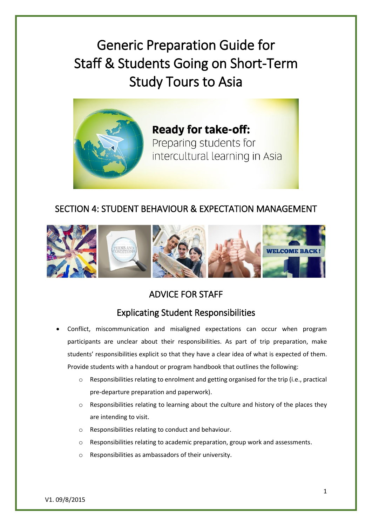Generic Preparation Guide for Staff & Students Going on Short-Term Study Tours to Asia



**Ready for take-off:** Preparing students for intercultural learning in Asia

#### SECTION 4: STUDENT BEHAVIOUR & EXPECTATION MANAGEMENT



# ADVICE FOR STAFF

# Explicating Student Responsibilities

- Conflict, miscommunication and misaligned expectations can occur when program participants are unclear about their responsibilities. As part of trip preparation, make students' responsibilities explicit so that they have a clear idea of what is expected of them. Provide students with a handout or program handbook that outlines the following:
	- o Responsibilities relating to enrolment and getting organised for the trip (i.e., practical pre-departure preparation and paperwork).
	- $\circ$  Responsibilities relating to learning about the culture and history of the places they are intending to visit.
	- o Responsibilities relating to conduct and behaviour.
	- o Responsibilities relating to academic preparation, group work and assessments.
	- o Responsibilities as ambassadors of their university.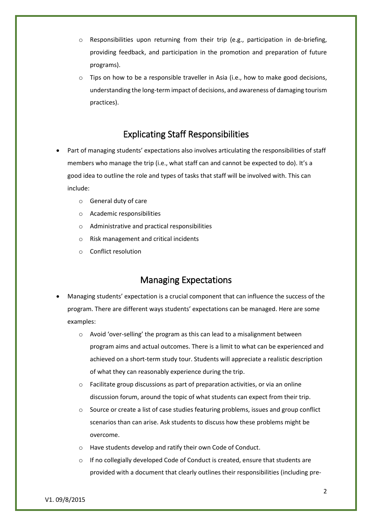- $\circ$  Responsibilities upon returning from their trip (e.g., participation in de-briefing, providing feedback, and participation in the promotion and preparation of future programs).
- o Tips on how to be a responsible traveller in Asia (i.e., how to make good decisions, understanding the long-term impact of decisions, and awareness of damaging tourism practices).

#### Explicating Staff Responsibilities

- Part of managing students' expectations also involves articulating the responsibilities of staff members who manage the trip (i.e., what staff can and cannot be expected to do). It's a good idea to outline the role and types of tasks that staff will be involved with. This can include:
	- o General duty of care
	- o Academic responsibilities
	- o Administrative and practical responsibilities
	- o Risk management and critical incidents
	- o Conflict resolution

#### Managing Expectations

- Managing students' expectation is a crucial component that can influence the success of the program. There are different ways students' expectations can be managed. Here are some examples:
	- o Avoid 'over-selling' the program as this can lead to a misalignment between program aims and actual outcomes. There is a limit to what can be experienced and achieved on a short-term study tour. Students will appreciate a realistic description of what they can reasonably experience during the trip.
	- o Facilitate group discussions as part of preparation activities, or via an online discussion forum, around the topic of what students can expect from their trip.
	- o Source or create a list of case studies featuring problems, issues and group conflict scenarios than can arise. Ask students to discuss how these problems might be overcome.
	- o Have students develop and ratify their own Code of Conduct.
	- o If no collegially developed Code of Conduct is created, ensure that students are provided with a document that clearly outlines their responsibilities (including pre-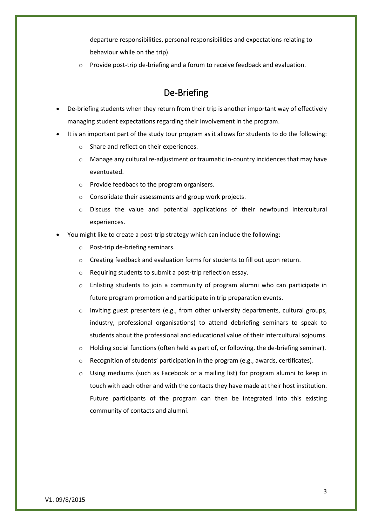departure responsibilities, personal responsibilities and expectations relating to behaviour while on the trip).

o Provide post-trip de-briefing and a forum to receive feedback and evaluation.

#### De-Briefing

- De-briefing students when they return from their trip is another important way of effectively managing student expectations regarding their involvement in the program.
- It is an important part of the study tour program as it allows for students to do the following:
	- o Share and reflect on their experiences.
	- o Manage any cultural re-adjustment or traumatic in-country incidences that may have eventuated.
	- o Provide feedback to the program organisers.
	- o Consolidate their assessments and group work projects.
	- $\circ$  Discuss the value and potential applications of their newfound intercultural experiences.
- You might like to create a post-trip strategy which can include the following:
	- o Post-trip de-briefing seminars.
	- o Creating feedback and evaluation forms for students to fill out upon return.
	- o Requiring students to submit a post-trip reflection essay.
	- $\circ$  Enlisting students to join a community of program alumni who can participate in future program promotion and participate in trip preparation events.
	- $\circ$  Inviting guest presenters (e.g., from other university departments, cultural groups, industry, professional organisations) to attend debriefing seminars to speak to students about the professional and educational value of their intercultural sojourns.
	- $\circ$  Holding social functions (often held as part of, or following, the de-briefing seminar).
	- o Recognition of students' participation in the program (e.g., awards, certificates).
	- $\circ$  Using mediums (such as Facebook or a mailing list) for program alumni to keep in touch with each other and with the contacts they have made at their host institution. Future participants of the program can then be integrated into this existing community of contacts and alumni.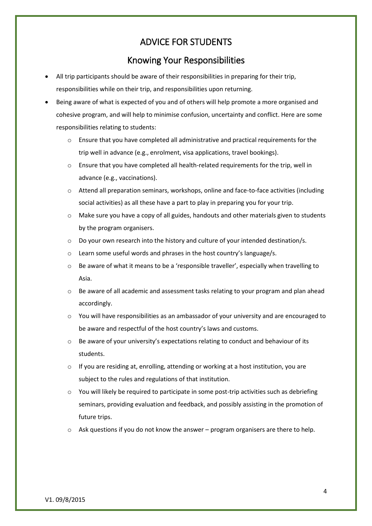#### ADVICE FOR STUDENTS

# Knowing Your Responsibilities

- All trip participants should be aware of their responsibilities in preparing for their trip, responsibilities while on their trip, and responsibilities upon returning.
- Being aware of what is expected of you and of others will help promote a more organised and cohesive program, and will help to minimise confusion, uncertainty and conflict. Here are some responsibilities relating to students:
	- o Ensure that you have completed all administrative and practical requirements for the trip well in advance (e.g., enrolment, visa applications, travel bookings).
	- $\circ$  Ensure that you have completed all health-related requirements for the trip, well in advance (e.g., vaccinations).
	- o Attend all preparation seminars, workshops, online and face-to-face activities (including social activities) as all these have a part to play in preparing you for your trip.
	- $\circ$  Make sure you have a copy of all guides, handouts and other materials given to students by the program organisers.
	- $\circ$  Do your own research into the history and culture of your intended destination/s.
	- o Learn some useful words and phrases in the host country's language/s.
	- o Be aware of what it means to be a 'responsible traveller', especially when travelling to Asia.
	- $\circ$  Be aware of all academic and assessment tasks relating to your program and plan ahead accordingly.
	- o You will have responsibilities as an ambassador of your university and are encouraged to be aware and respectful of the host country's laws and customs.
	- Be aware of your university's expectations relating to conduct and behaviour of its students.
	- $\circ$  If you are residing at, enrolling, attending or working at a host institution, you are subject to the rules and regulations of that institution.
	- $\circ$  You will likely be required to participate in some post-trip activities such as debriefing seminars, providing evaluation and feedback, and possibly assisting in the promotion of future trips.
	- $\circ$  Ask questions if you do not know the answer program organisers are there to help.